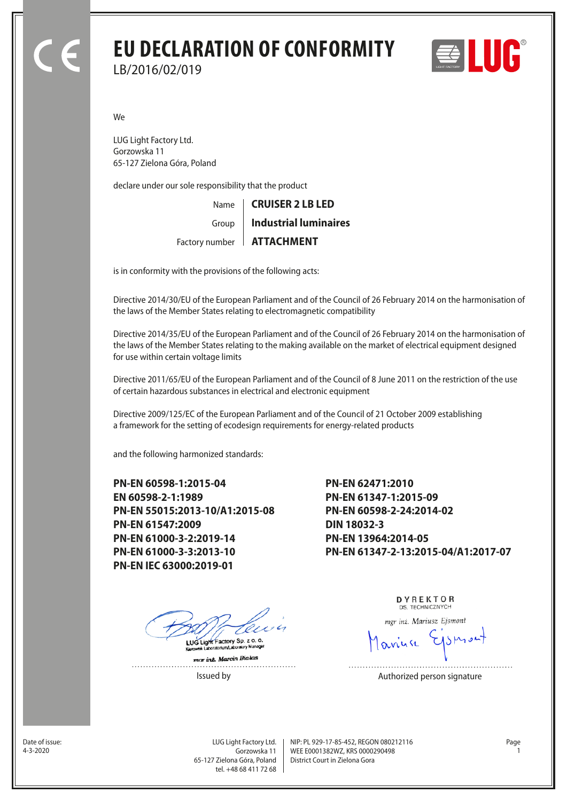# **EU DECLARATION OF CONFORMITY** LB/2016/02/019



We

LUG Light Factory Ltd. Gorzowska 11 65-127 Zielona Góra, Poland

declare under our sole responsibility that the product

Name Factory number | **ATTACHMENT** Group **CRUISER 2 LB LED Industrial luminaires**

is in conformity with the provisions of the following acts:

Directive 2014/30/EU of the European Parliament and of the Council of 26 February 2014 on the harmonisation of the laws of the Member States relating to electromagnetic compatibility

Directive 2014/35/EU of the European Parliament and of the Council of 26 February 2014 on the harmonisation of the laws of the Member States relating to the making available on the market of electrical equipment designed for use within certain voltage limits

Directive 2011/65/EU of the European Parliament and of the Council of 8 June 2011 on the restriction of the use of certain hazardous substances in electrical and electronic equipment

Directive 2009/125/EC of the European Parliament and of the Council of 21 October 2009 establishing a framework for the setting of ecodesign requirements for energy-related products

and the following harmonized standards:

**PN-EN 60598-1:2015-04 EN 60598-2-1:1989 PN-EN 55015:2013-10/A1:2015-08 PN-EN 61547:2009 PN-EN 61000-3-2:2019-14 PN-EN 61000-3-3:2013-10 PN-EN IEC 63000:2019-01**

LUG Light Factory Sp. z o. o.

mar inz. Marcin Bialas

**PN-EN 62471:2010 PN-EN 61347-1:2015-09 PN-EN 60598-2-24:2014-02 DIN 18032-3 PN-EN 13964:2014-05 PN-EN 61347-2-13:2015-04/A1:2017-07**

> DYREKTOR DS TECHNICZNYCH

mgr inż. Mariusz Ejsmont

Issued by **Authorized person signature** 

Date of issue:<br>4-3-2020

Gorzowska 11 65-127 Zielona Góra, Poland tel. +48 68 411 72 68

LUG Light Factory Ltd. Page NIP: PL 929-17-85-452, REGON 080212116 WEE E0001382WZ, KRS 0000290498 4-3-2020 1 District Court in Zielona Gora